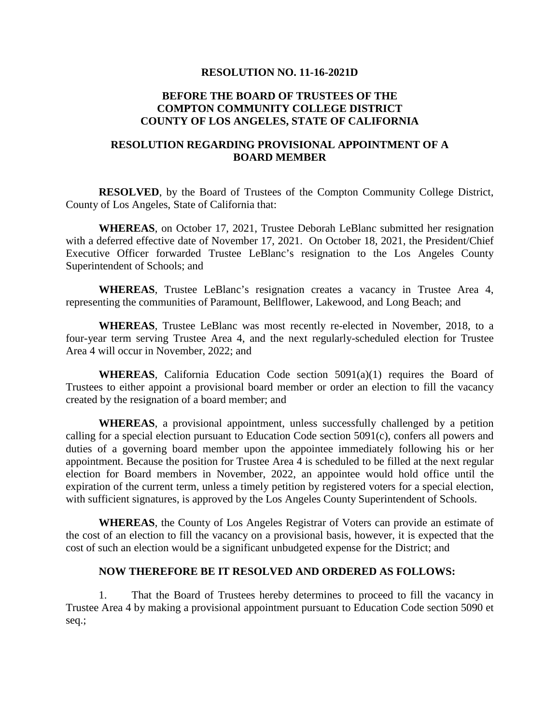## **RESOLUTION NO. 11-16-2021D**

## **BEFORE THE BOARD OF TRUSTEES OF THE COMPTON COMMUNITY COLLEGE DISTRICT COUNTY OF LOS ANGELES, STATE OF CALIFORNIA**

## **RESOLUTION REGARDING PROVISIONAL APPOINTMENT OF A BOARD MEMBER**

**RESOLVED**, by the Board of Trustees of the Compton Community College District, County of Los Angeles, State of California that:

**WHEREAS**, on October 17, 2021, Trustee Deborah LeBlanc submitted her resignation with a deferred effective date of November 17, 2021. On October 18, 2021, the President/Chief Executive Officer forwarded Trustee LeBlanc's resignation to the Los Angeles County Superintendent of Schools; and

**WHEREAS**, Trustee LeBlanc's resignation creates a vacancy in Trustee Area 4, representing the communities of Paramount, Bellflower, Lakewood, and Long Beach; and

**WHEREAS**, Trustee LeBlanc was most recently re-elected in November, 2018, to a four-year term serving Trustee Area 4, and the next regularly-scheduled election for Trustee Area 4 will occur in November, 2022; and

**WHEREAS**, California Education Code section  $5091(a)(1)$  requires the Board of Trustees to either appoint a provisional board member or order an election to fill the vacancy created by the resignation of a board member; and

**WHEREAS**, a provisional appointment, unless successfully challenged by a petition calling for a special election pursuant to Education Code section 5091(c), confers all powers and duties of a governing board member upon the appointee immediately following his or her appointment. Because the position for Trustee Area 4 is scheduled to be filled at the next regular election for Board members in November, 2022, an appointee would hold office until the expiration of the current term, unless a timely petition by registered voters for a special election, with sufficient signatures, is approved by the Los Angeles County Superintendent of Schools.

**WHEREAS**, the County of Los Angeles Registrar of Voters can provide an estimate of the cost of an election to fill the vacancy on a provisional basis, however, it is expected that the cost of such an election would be a significant unbudgeted expense for the District; and

## **NOW THEREFORE BE IT RESOLVED AND ORDERED AS FOLLOWS:**

1. That the Board of Trustees hereby determines to proceed to fill the vacancy in Trustee Area 4 by making a provisional appointment pursuant to Education Code section 5090 et seq.;